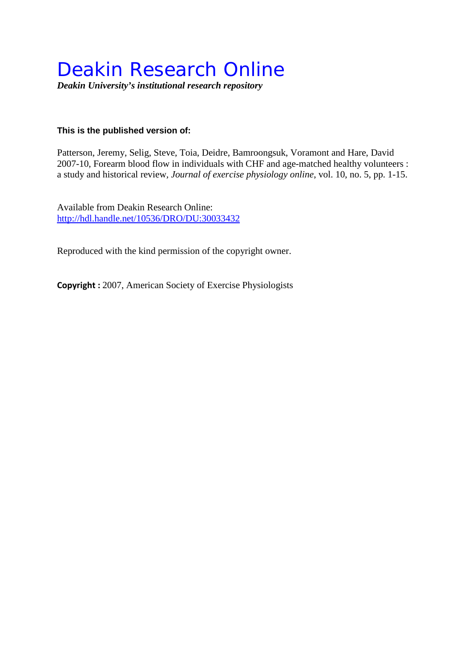# Deakin Research Online

*Deakin University's institutional research repository*

# **This is the published version of:**

Patterson, Jeremy, Selig, Steve, Toia, Deidre, Bamroongsuk, Voramont and Hare, David 2007-10, Forearm blood flow in individuals with CHF and age-matched healthy volunteers : a study and historical review*, Journal of exercise physiology online*, vol. 10, no. 5, pp. 1-15.

Available from Deakin Research Online: <http://hdl.handle.net/10536/DRO/DU:30033432>

Reproduced with the kind permission of the copyright owner.

**Copyright :** 2007, American Society of Exercise Physiologists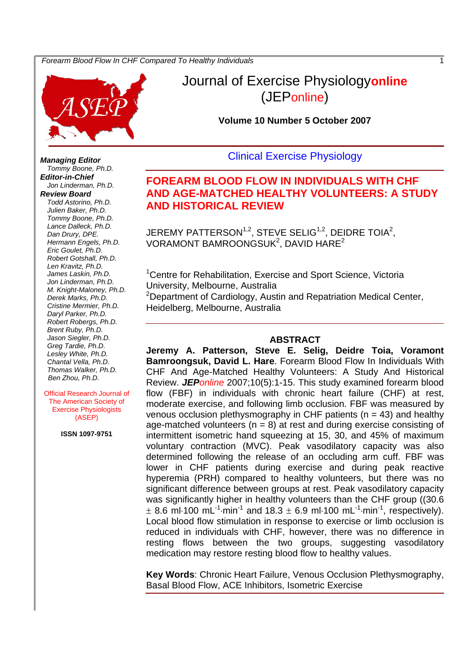

# Journal of Exercise Physiology**online** (JEPonline)

**Volume 10 Number 5 October 2007** 

# Clinical Exercise Physiology

# **FOREARM BLOOD FLOW IN INDIVIDUALS WITH CHF AND AGE-MATCHED HEALTHY VOLUNTEERS: A STUDY AND HISTORICAL REVIEW**

JEREMY PATTERSON $1,2$ , STEVE SELIG $1,2$ , DEIDRE TOIA $2$ , VORAMONT BAMROONGSUK<sup>2</sup>, DAVID HARE<sup>2</sup>

<sup>1</sup> Centre for Rehabilitation, Exercise and Sport Science, Victoria University, Melbourne, Australia <sup>2</sup>Department of Cardiology, Austin and Repatriation Medical Center,

Heidelberg, Melbourne, Australia

#### **ABSTRACT**

**Jeremy A. Patterson, Steve E. Selig, Deidre Toia, Voramont Bamroongsuk, David L. Hare**. Forearm Blood Flow In Individuals With CHF And Age-Matched Healthy Volunteers: A Study And Historical Review. *JEPonline* 2007;10(5):1-15. This study examined forearm blood flow (FBF) in individuals with chronic heart failure (CHF) at rest, moderate exercise, and following limb occlusion. FBF was measured by venous occlusion plethysmography in CHF patients ( $n = 43$ ) and healthy age-matched volunteers ( $n = 8$ ) at rest and during exercise consisting of intermittent isometric hand squeezing at 15, 30, and 45% of maximum voluntary contraction (MVC). Peak vasodilatory capacity was also determined following the release of an occluding arm cuff. FBF was lower in CHF patients during exercise and during peak reactive hyperemia (PRH) compared to healthy volunteers, but there was no significant difference between groups at rest. Peak vasodilatory capacity was significantly higher in healthy volunteers than the CHF group ((30.6  $\pm$  8.6 ml 100 mL<sup>-1</sup> min<sup>-1</sup> and 18.3  $\pm$  6.9 ml 100 mL<sup>-1</sup> min<sup>-1</sup>, respectively). Local blood flow stimulation in response to exercise or limb occlusion is reduced in individuals with CHF, however, there was no difference in resting flows between the two groups, suggesting vasodilatory medication may restore resting blood flow to healthy values.

**Key Words**: Chronic Heart Failure, Venous Occlusion Plethysmography, Basal Blood Flow, ACE Inhibitors, Isometric Exercise

*Managing Editor Tommy Boone, Ph.D. Editor-in-Chief Jon Linderman, Ph.D. Review Board Todd Astorino, Ph.D. Julien Baker, Ph.D. Tommy Boone, Ph.D. Lance Dalleck, Ph.D. Dan Drury, DPE. Hermann Engels, Ph.D. Eric Goulet, Ph.D. Robert Gotshall, Ph.D. Len Kravitz, Ph.D. James Laskin, Ph.D. Jon Linderman, Ph.D. M. Knight-Maloney, Ph.D. Derek Marks, Ph.D. Cristine Mermier, Ph.D. Daryl Parker, Ph.D. Robert Robergs, Ph.D. Brent Ruby, Ph.D. Jason Siegler, Ph.D. Greg Tardie, Ph.D. Lesley White, Ph.D. Chantal Vella, Ph.D. Thomas Walker, Ph.D. Ben Zhou, Ph.D.* 

Official Research Journal of The American Society of Exercise Physiologists (ASEP)

**ISSN 1097-9751**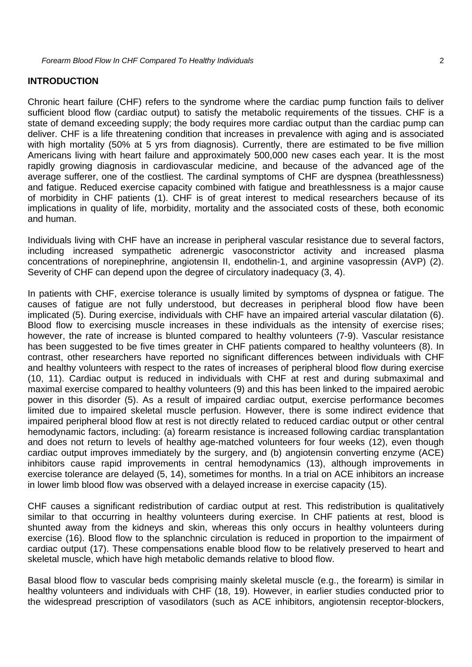#### **INTRODUCTION**

Chronic heart failure (CHF) refers to the syndrome where the cardiac pump function fails to deliver sufficient blood flow (cardiac output) to satisfy the metabolic requirements of the tissues. CHF is a state of demand exceeding supply; the body requires more cardiac output than the cardiac pump can deliver. CHF is a life threatening condition that increases in prevalence with aging and is associated with high mortality (50% at 5 yrs from diagnosis). Currently, there are estimated to be five million Americans living with heart failure and approximately 500,000 new cases each year. It is the most rapidly growing diagnosis in cardiovascular medicine, and because of the advanced age of the average sufferer, one of the costliest. The cardinal symptoms of CHF are dyspnea (breathlessness) and fatigue. Reduced exercise capacity combined with fatigue and breathlessness is a major cause of morbidity in CHF patients (1). CHF is of great interest to medical researchers because of its implications in quality of life, morbidity, mortality and the associated costs of these, both economic and human.

Individuals living with CHF have an increase in peripheral vascular resistance due to several factors, including increased sympathetic adrenergic vasoconstrictor activity and increased plasma concentrations of norepinephrine, angiotensin II, endothelin-1, and arginine vasopressin (AVP) (2). Severity of CHF can depend upon the degree of circulatory inadequacy (3, 4).

In patients with CHF, exercise tolerance is usually limited by symptoms of dyspnea or fatigue. The causes of fatigue are not fully understood, but decreases in peripheral blood flow have been implicated (5). During exercise, individuals with CHF have an impaired arterial vascular dilatation (6). Blood flow to exercising muscle increases in these individuals as the intensity of exercise rises; however, the rate of increase is blunted compared to healthy volunteers (7-9). Vascular resistance has been suggested to be five times greater in CHF patients compared to healthy volunteers (8). In contrast, other researchers have reported no significant differences between individuals with CHF and healthy volunteers with respect to the rates of increases of peripheral blood flow during exercise (10, 11). Cardiac output is reduced in individuals with CHF at rest and during submaximal and maximal exercise compared to healthy volunteers (9) and this has been linked to the impaired aerobic power in this disorder (5). As a result of impaired cardiac output, exercise performance becomes limited due to impaired skeletal muscle perfusion. However, there is some indirect evidence that impaired peripheral blood flow at rest is not directly related to reduced cardiac output or other central hemodynamic factors, including: (a) forearm resistance is increased following cardiac transplantation and does not return to levels of healthy age-matched volunteers for four weeks (12), even though cardiac output improves immediately by the surgery, and (b) angiotensin converting enzyme (ACE) inhibitors cause rapid improvements in central hemodynamics (13), although improvements in exercise tolerance are delayed (5, 14), sometimes for months. In a trial on ACE inhibitors an increase in lower limb blood flow was observed with a delayed increase in exercise capacity (15).

CHF causes a significant redistribution of cardiac output at rest. This redistribution is qualitatively similar to that occurring in healthy volunteers during exercise. In CHF patients at rest, blood is shunted away from the kidneys and skin, whereas this only occurs in healthy volunteers during exercise (16). Blood flow to the splanchnic circulation is reduced in proportion to the impairment of cardiac output (17). These compensations enable blood flow to be relatively preserved to heart and skeletal muscle, which have high metabolic demands relative to blood flow.

Basal blood flow to vascular beds comprising mainly skeletal muscle (e.g., the forearm) is similar in healthy volunteers and individuals with CHF (18, 19). However, in earlier studies conducted prior to the widespread prescription of vasodilators (such as ACE inhibitors, angiotensin receptor-blockers,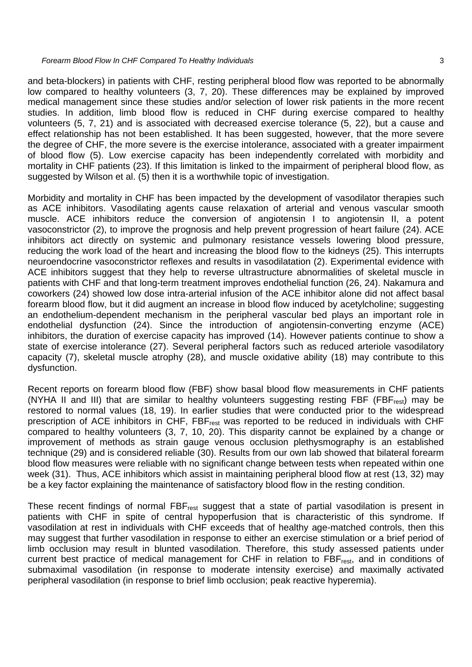and beta-blockers) in patients with CHF, resting peripheral blood flow was reported to be abnormally low compared to healthy volunteers (3, 7, 20). These differences may be explained by improved medical management since these studies and/or selection of lower risk patients in the more recent studies. In addition, limb blood flow is reduced in CHF during exercise compared to healthy volunteers (5, 7, 21) and is associated with decreased exercise tolerance (5, 22), but a cause and effect relationship has not been established. It has been suggested, however, that the more severe the degree of CHF, the more severe is the exercise intolerance, associated with a greater impairment of blood flow (5). Low exercise capacity has been independently correlated with morbidity and mortality in CHF patients (23). If this limitation is linked to the impairment of peripheral blood flow, as suggested by Wilson et al. (5) then it is a worthwhile topic of investigation.

Morbidity and mortality in CHF has been impacted by the development of vasodilator therapies such as ACE inhibitors. Vasodilating agents cause relaxation of arterial and venous vascular smooth muscle. ACE inhibitors reduce the conversion of angiotensin I to angiotensin II, a potent vasoconstrictor (2), to improve the prognosis and help prevent progression of heart failure (24). ACE inhibitors act directly on systemic and pulmonary resistance vessels lowering blood pressure, reducing the work load of the heart and increasing the blood flow to the kidneys (25). This interrupts neuroendocrine vasoconstrictor reflexes and results in vasodilatation (2). Experimental evidence with ACE inhibitors suggest that they help to reverse ultrastructure abnormalities of skeletal muscle in patients with CHF and that long-term treatment improves endothelial function (26, 24). Nakamura and coworkers (24) showed low dose intra-arterial infusion of the ACE inhibitor alone did not affect basal forearm blood flow, but it did augment an increase in blood flow induced by acetylcholine; suggesting an endothelium-dependent mechanism in the peripheral vascular bed plays an important role in endothelial dysfunction (24). Since the introduction of angiotensin-converting enzyme (ACE) inhibitors, the duration of exercise capacity has improved (14). However patients continue to show a state of exercise intolerance (27). Several peripheral factors such as reduced arteriole vasodilatory capacity (7), skeletal muscle atrophy (28), and muscle oxidative ability (18) may contribute to this dysfunction.

Recent reports on forearm blood flow (FBF) show basal blood flow measurements in CHF patients (NYHA II and III) that are similar to healthy volunteers suggesting resting FBF (FBF<sub>rest</sub>) may be restored to normal values (18, 19). In earlier studies that were conducted prior to the widespread prescription of ACE inhibitors in CHF, FBF<sub>rest</sub> was reported to be reduced in individuals with CHF compared to healthy volunteers (3, 7, 10, 20). This disparity cannot be explained by a change or improvement of methods as strain gauge venous occlusion plethysmography is an established technique (29) and is considered reliable (30). Results from our own lab showed that bilateral forearm blood flow measures were reliable with no significant change between tests when repeated within one week (31). Thus, ACE inhibitors which assist in maintaining peripheral blood flow at rest (13, 32) may be a key factor explaining the maintenance of satisfactory blood flow in the resting condition.

These recent findings of normal FBF<sub>rest</sub> suggest that a state of partial vasodilation is present in patients with CHF in spite of central hypoperfusion that is characteristic of this syndrome. If vasodilation at rest in individuals with CHF exceeds that of healthy age-matched controls, then this may suggest that further vasodilation in response to either an exercise stimulation or a brief period of limb occlusion may result in blunted vasodilation. Therefore, this study assessed patients under current best practice of medical management for CHF in relation to FBF<sub>rest</sub>, and in conditions of submaximal vasodilation (in response to moderate intensity exercise) and maximally activated peripheral vasodilation (in response to brief limb occlusion; peak reactive hyperemia).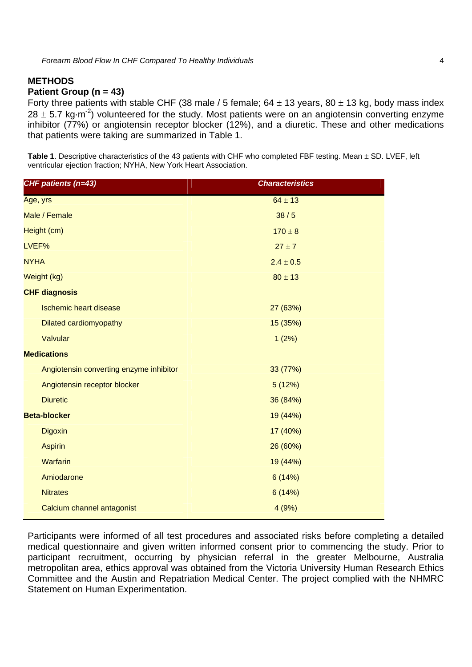# **METHODS Patient Group (n = 43)**

Forty three patients with stable CHF (38 male / 5 female;  $64 \pm 13$  years,  $80 \pm 13$  kg, body mass index  $28 \pm 5.7$  kg·m<sup>-2</sup>) volunteered for the study. Most patients were on an angiotensin converting enzyme inhibitor (77%) or angiotensin receptor blocker (12%), and a diuretic. These and other medications that patients were taking are summarized in Table 1.

Table 1. Descriptive characteristics of the 43 patients with CHF who completed FBF testing. Mean  $\pm$  SD. LVEF, left ventricular ejection fraction; NYHA, New York Heart Association.

| CHF patients (n=43)                     | <b>Characteristics</b> |  |  |
|-----------------------------------------|------------------------|--|--|
| Age, yrs                                | $64 \pm 13$            |  |  |
| Male / Female                           | 38/5                   |  |  |
| Height (cm)                             | $170 \pm 8$            |  |  |
| LVEF%                                   | $27 \pm 7$             |  |  |
| <b>NYHA</b>                             | $2.4 \pm 0.5$          |  |  |
| Weight (kg)                             | $80 \pm 13$            |  |  |
| <b>CHF diagnosis</b>                    |                        |  |  |
| <b>Ischemic heart disease</b>           | 27 (63%)               |  |  |
| Dilated cardiomyopathy                  | 15 (35%)               |  |  |
| Valvular                                | 1(2%)                  |  |  |
| <b>Medications</b>                      |                        |  |  |
| Angiotensin converting enzyme inhibitor | 33 (77%)               |  |  |
| Angiotensin receptor blocker            | 5(12%)                 |  |  |
| <b>Diuretic</b>                         | 36 (84%)               |  |  |
| <b>Beta-blocker</b>                     | 19 (44%)               |  |  |
| <b>Digoxin</b>                          | 17 (40%)               |  |  |
| <b>Aspirin</b>                          | 26 (60%)               |  |  |
| <b>Warfarin</b>                         | 19 (44%)               |  |  |
| Amiodarone                              | 6(14%)                 |  |  |
| <b>Nitrates</b>                         | 6(14%)                 |  |  |
| Calcium channel antagonist              | 4(9%)                  |  |  |

Participants were informed of all test procedures and associated risks before completing a detailed medical questionnaire and given written informed consent prior to commencing the study. Prior to participant recruitment, occurring by physician referral in the greater Melbourne, Australia metropolitan area, ethics approval was obtained from the Victoria University Human Research Ethics Committee and the Austin and Repatriation Medical Center. The project complied with the NHMRC Statement on Human Experimentation.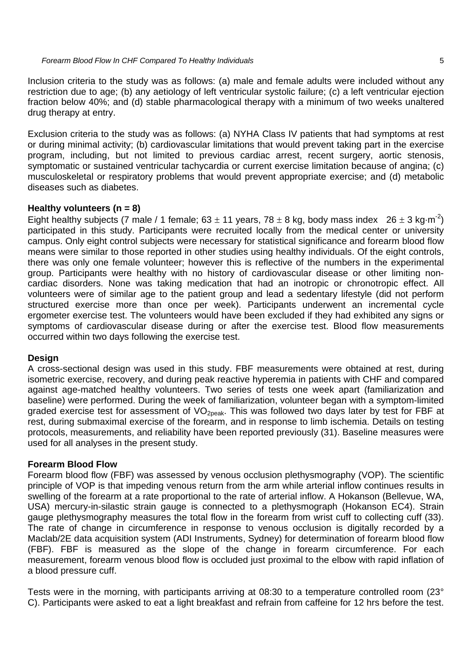Inclusion criteria to the study was as follows: (a) male and female adults were included without any restriction due to age; (b) any aetiology of left ventricular systolic failure; (c) a left ventricular ejection fraction below 40%; and (d) stable pharmacological therapy with a minimum of two weeks unaltered drug therapy at entry.

Exclusion criteria to the study was as follows: (a) NYHA Class IV patients that had symptoms at rest or during minimal activity; (b) cardiovascular limitations that would prevent taking part in the exercise program, including, but not limited to previous cardiac arrest, recent surgery, aortic stenosis, symptomatic or sustained ventricular tachycardia or current exercise limitation because of angina; (c) musculoskeletal or respiratory problems that would prevent appropriate exercise; and (d) metabolic diseases such as diabetes.

# **Healthy volunteers (n = 8)**

Eight healthy subjects (7 male / 1 female;  $63 \pm 11$  years,  $78 \pm 8$  kg, body mass index  $26 \pm 3$  kg·m<sup>-2</sup>) participated in this study. Participants were recruited locally from the medical center or university campus. Only eight control subjects were necessary for statistical significance and forearm blood flow means were similar to those reported in other studies using healthy individuals. Of the eight controls, there was only one female volunteer; however this is reflective of the numbers in the experimental group. Participants were healthy with no history of cardiovascular disease or other limiting noncardiac disorders. None was taking medication that had an inotropic or chronotropic effect. All volunteers were of similar age to the patient group and lead a sedentary lifestyle (did not perform structured exercise more than once per week). Participants underwent an incremental cycle ergometer exercise test. The volunteers would have been excluded if they had exhibited any signs or symptoms of cardiovascular disease during or after the exercise test. Blood flow measurements occurred within two days following the exercise test.

# **Design**

A cross-sectional design was used in this study. FBF measurements were obtained at rest, during isometric exercise, recovery, and during peak reactive hyperemia in patients with CHF and compared against age-matched healthy volunteers. Two series of tests one week apart (familiarization and baseline) were performed. During the week of familiarization, volunteer began with a symptom-limited graded exercise test for assessment of VO<sub>2peak</sub>. This was followed two days later by test for FBF at rest, during submaximal exercise of the forearm, and in response to limb ischemia. Details on testing protocols, measurements, and reliability have been reported previously (31). Baseline measures were used for all analyses in the present study.

# **Forearm Blood Flow**

Forearm blood flow (FBF) was assessed by venous occlusion plethysmography (VOP). The scientific principle of VOP is that impeding venous return from the arm while arterial inflow continues results in swelling of the forearm at a rate proportional to the rate of arterial inflow. A Hokanson (Bellevue, WA, USA) mercury-in-silastic strain gauge is connected to a plethysmograph (Hokanson EC4). Strain gauge plethysmography measures the total flow in the forearm from wrist cuff to collecting cuff (33). The rate of change in circumference in response to venous occlusion is digitally recorded by a Maclab/2E data acquisition system (ADI Instruments, Sydney) for determination of forearm blood flow (FBF). FBF is measured as the slope of the change in forearm circumference. For each measurement, forearm venous blood flow is occluded just proximal to the elbow with rapid inflation of a blood pressure cuff.

Tests were in the morning, with participants arriving at 08:30 to a temperature controlled room (23° C). Participants were asked to eat a light breakfast and refrain from caffeine for 12 hrs before the test.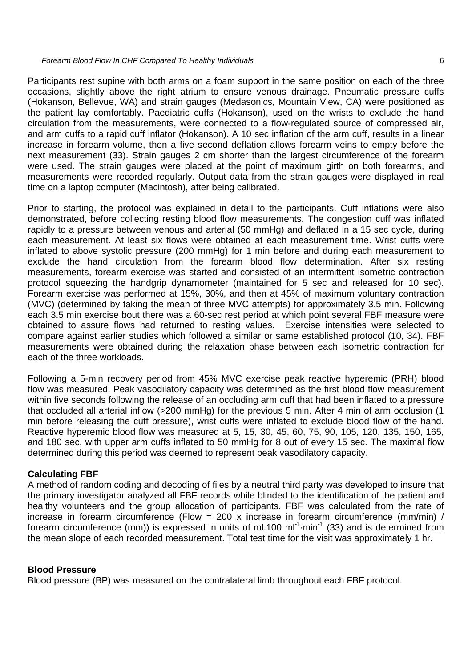Participants rest supine with both arms on a foam support in the same position on each of the three occasions, slightly above the right atrium to ensure venous drainage. Pneumatic pressure cuffs (Hokanson, Bellevue, WA) and strain gauges (Medasonics, Mountain View, CA) were positioned as the patient lay comfortably. Paediatric cuffs (Hokanson), used on the wrists to exclude the hand circulation from the measurements, were connected to a flow-regulated source of compressed air, and arm cuffs to a rapid cuff inflator (Hokanson). A 10 sec inflation of the arm cuff, results in a linear increase in forearm volume, then a five second deflation allows forearm veins to empty before the next measurement (33). Strain gauges 2 cm shorter than the largest circumference of the forearm were used. The strain gauges were placed at the point of maximum girth on both forearms, and measurements were recorded regularly. Output data from the strain gauges were displayed in real time on a laptop computer (Macintosh), after being calibrated.

Prior to starting, the protocol was explained in detail to the participants. Cuff inflations were also demonstrated, before collecting resting blood flow measurements. The congestion cuff was inflated rapidly to a pressure between venous and arterial (50 mmHg) and deflated in a 15 sec cycle, during each measurement. At least six flows were obtained at each measurement time. Wrist cuffs were inflated to above systolic pressure (200 mmHg) for 1 min before and during each measurement to exclude the hand circulation from the forearm blood flow determination. After six resting measurements, forearm exercise was started and consisted of an intermittent isometric contraction protocol squeezing the handgrip dynamometer (maintained for 5 sec and released for 10 sec). Forearm exercise was performed at 15%, 30%, and then at 45% of maximum voluntary contraction (MVC) (determined by taking the mean of three MVC attempts) for approximately 3.5 min. Following each 3.5 min exercise bout there was a 60-sec rest period at which point several FBF measure were obtained to assure flows had returned to resting values. Exercise intensities were selected to compare against earlier studies which followed a similar or same established protocol (10, 34). FBF measurements were obtained during the relaxation phase between each isometric contraction for each of the three workloads.

Following a 5-min recovery period from 45% MVC exercise peak reactive hyperemic (PRH) blood flow was measured. Peak vasodilatory capacity was determined as the first blood flow measurement within five seconds following the release of an occluding arm cuff that had been inflated to a pressure that occluded all arterial inflow (>200 mmHg) for the previous 5 min. After 4 min of arm occlusion (1 min before releasing the cuff pressure), wrist cuffs were inflated to exclude blood flow of the hand. Reactive hyperemic blood flow was measured at 5, 15, 30, 45, 60, 75, 90, 105, 120, 135, 150, 165, and 180 sec, with upper arm cuffs inflated to 50 mmHg for 8 out of every 15 sec. The maximal flow determined during this period was deemed to represent peak vasodilatory capacity.

# **Calculating FBF**

A method of random coding and decoding of files by a neutral third party was developed to insure that the primary investigator analyzed all FBF records while blinded to the identification of the patient and healthy volunteers and the group allocation of participants. FBF was calculated from the rate of increase in forearm circumference (Flow = 200 x increase in forearm circumference (mm/min) / forearm circumference (mm)) is expressed in units of ml.100 ml<sup>-1</sup>·min<sup>-1</sup> (33) and is determined from the mean slope of each recorded measurement. Total test time for the visit was approximately 1 hr.

# **Blood Pressure**

Blood pressure (BP) was measured on the contralateral limb throughout each FBF protocol.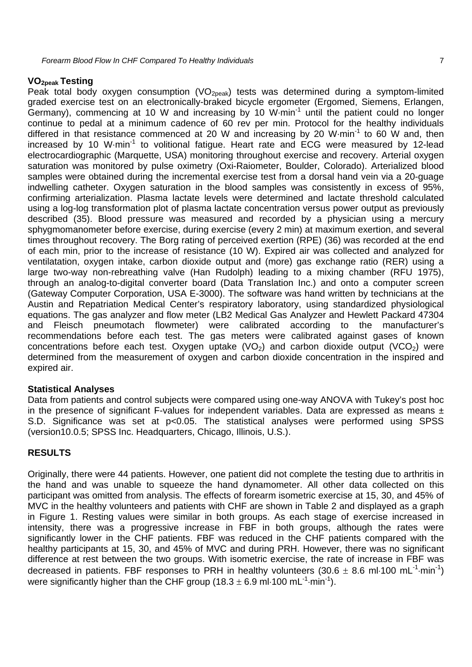#### **VO2peak Testing**

Peak total body oxygen consumption  $(VO_{2peak})$  tests was determined during a symptom-limited graded exercise test on an electronically-braked bicycle ergometer (Ergomed, Siemens, Erlangen,  $G$ ermany), commencing at 10 W and increasing by 10 W $\cdot$ min<sup>-1</sup> until the patient could no longer continue to pedal at a minimum cadence of 60 rev per min. Protocol for the healthy individuals differed in that resistance commenced at 20 W and increasing by 20 W $\cdot$ min<sup>-1</sup> to 60 W and, then increased by 10 W·min<sup>-1</sup> to volitional fatigue. Heart rate and ECG were measured by 12-lead electrocardiographic (Marquette, USA) monitoring throughout exercise and recovery. Arterial oxygen saturation was monitored by pulse oximetry (Oxi-Raiometer, Boulder, Colorado). Arterialized blood samples were obtained during the incremental exercise test from a dorsal hand vein via a 20-guage indwelling catheter. Oxygen saturation in the blood samples was consistently in excess of 95%, confirming arterialization. Plasma lactate levels were determined and lactate threshold calculated using a log-log transformation plot of plasma lactate concentration versus power output as previously described (35). Blood pressure was measured and recorded by a physician using a mercury sphygmomanometer before exercise, during exercise (every 2 min) at maximum exertion, and several times throughout recovery. The Borg rating of perceived exertion (RPE) (36) was recorded at the end of each min, prior to the increase of resistance (10 W). Expired air was collected and analyzed for ventilatation, oxygen intake, carbon dioxide output and (more) gas exchange ratio (RER) using a large two-way non-rebreathing valve (Han Rudolph) leading to a mixing chamber (RFU 1975), through an analog-to-digital converter board (Data Translation Inc.) and onto a computer screen (Gateway Computer Corporation, USA E-3000). The software was hand written by technicians at the Austin and Repatriation Medical Center's respiratory laboratory, using standardized physiological equations. The gas analyzer and flow meter (LB2 Medical Gas Analyzer and Hewlett Packard 47304 and Fleisch pneumotach flowmeter) were calibrated according to the manufacturer's recommendations before each test. The gas meters were calibrated against gases of known concentrations before each test. Oxygen uptake  $(VO<sub>2</sub>)$  and carbon dioxide output  $(VCO<sub>2</sub>)$  were determined from the measurement of oxygen and carbon dioxide concentration in the inspired and expired air.

# **Statistical Analyses**

Data from patients and control subjects were compared using one-way ANOVA with Tukey's post hoc in the presence of significant F-values for independent variables. Data are expressed as means  $\pm$ S.D. Significance was set at p<0.05. The statistical analyses were performed using SPSS (version10.0.5; SPSS Inc. Headquarters, Chicago, Illinois, U.S.).

# **RESULTS**

Originally, there were 44 patients. However, one patient did not complete the testing due to arthritis in the hand and was unable to squeeze the hand dynamometer. All other data collected on this participant was omitted from analysis. The effects of forearm isometric exercise at 15, 30, and 45% of MVC in the healthy volunteers and patients with CHF are shown in Table 2 and displayed as a graph in Figure 1. Resting values were similar in both groups. As each stage of exercise increased in intensity, there was a progressive increase in FBF in both groups, although the rates were significantly lower in the CHF patients. FBF was reduced in the CHF patients compared with the healthy participants at 15, 30, and 45% of MVC and during PRH. However, there was no significant difference at rest between the two groups. With isometric exercise, the rate of increase in FBF was decreased in patients. FBF responses to PRH in healthy volunteers (30.6  $\pm$  8.6 ml $\cdot$ 100 mL<sup>-1</sup>min<sup>-1</sup>) were significantly higher than the CHF group (18.3  $\pm$  6.9 ml·100 mL<sup>-1</sup>·min<sup>-1</sup>).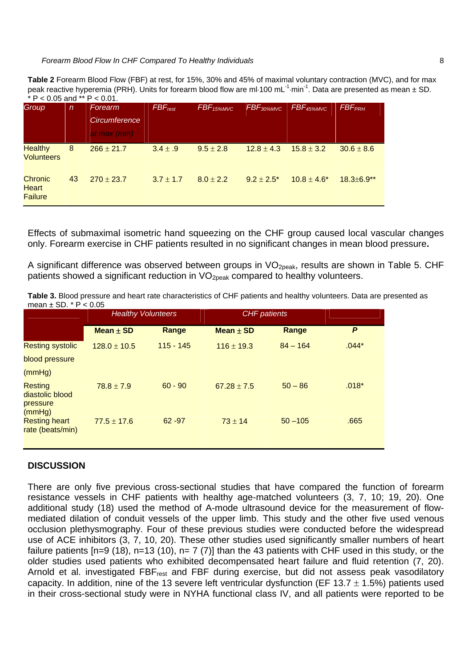**Table 2** Forearm Blood Flow (FBF) at rest, for 15%, 30% and 45% of maximal voluntary contraction (MVC), and for max peak reactive hyperemia (PRH). Units for forearm blood flow are ml $100$  mL<sup>-1</sup> min<sup>-1</sup>. Data are presented as mean  $\pm$  SD.  $*$  P < 0.05 and  $*$  P < 0.01.

| Group                                     | $\mathsf{n}$ | Forearm<br>Circumference<br>at max $(mm)$ | $FBF_{rest}$  | <b>FBF</b> <sub>15%MVC</sub> | FBF <sub>30%MVC</sub> | FBF <sub>45%MVC</sub> | <b>FBF<sub>PRH</sub></b> |
|-------------------------------------------|--------------|-------------------------------------------|---------------|------------------------------|-----------------------|-----------------------|--------------------------|
| <b>Healthy</b><br><b>Volunteers</b>       | 8            | $266 \pm 21.7$                            | $3.4 \pm .9$  | $9.5 \pm 2.8$                | $12.8 \pm 4.3$        | $15.8 \pm 3.2$        | $30.6 \pm 8.6$           |
| <b>Chronic</b><br>Heart<br><b>Failure</b> | 43           | $270 \pm 23.7$                            | $3.7 \pm 1.7$ | $8.0 \pm 2.2$                | $9.2 \pm 2.5^*$       | $10.8 \pm 4.6^*$      | $18.3 \pm 6.9**$         |

Effects of submaximal isometric hand squeezing on the CHF group caused local vascular changes only. Forearm exercise in CHF patients resulted in no significant changes in mean blood pressure**.** 

A significant difference was observed between groups in  $VO<sub>20eak</sub>$ , results are shown in Table 5. CHF patients showed a significant reduction in  $VO<sub>2</sub>$ <sub>peak</sub> compared to healthy volunteers.

**Table 3.** Blood pressure and heart rate characteristics of CHF patients and healthy volunteers. Data are presented as mean  $\pm$  SD.  $*$  P  $<$  0.05

|                                                  | <b>Healthy Volunteers</b> |             | <b>CHF</b> patients |            |         |
|--------------------------------------------------|---------------------------|-------------|---------------------|------------|---------|
|                                                  | Mean $\pm$ SD             | Range       | Mean $\pm$ SD       | Range      | P       |
| <b>Resting systolic</b>                          | $128.0 \pm 10.5$          | $115 - 145$ | $116 \pm 19.3$      | $84 - 164$ | $.044*$ |
| blood pressure                                   |                           |             |                     |            |         |
| (mmHg)                                           |                           |             |                     |            |         |
| Resting<br>diastolic blood<br>pressure<br>(mmHg) | $78.8 \pm 7.9$            | $60 - 90$   | $67.28 \pm 7.5$     | $50 - 86$  | $.018*$ |
| <b>Resting heart</b><br>rate (beats/min)         | $77.5 \pm 17.6$           | $62 - 97$   | $73 \pm 14$         | $50 - 105$ | .665    |

# **DISCUSSION**

There are only five previous cross-sectional studies that have compared the function of forearm resistance vessels in CHF patients with healthy age-matched volunteers (3, 7, 10; 19, 20). One additional study (18) used the method of A-mode ultrasound device for the measurement of flowmediated dilation of conduit vessels of the upper limb. This study and the other five used venous occlusion plethysmography. Four of these previous studies were conducted before the widespread use of ACE inhibitors (3, 7, 10, 20). These other studies used significantly smaller numbers of heart failure patients  $[n=9 (18), n=13 (10), n= 7 (7)]$  than the 43 patients with CHF used in this study, or the older studies used patients who exhibited decompensated heart failure and fluid retention (7, 20). Arnold et al. investigated FBF<sub>rest</sub> and FBF during exercise, but did not assess peak vasodilatory capacity. In addition, nine of the 13 severe left ventricular dysfunction (EF 13.7  $\pm$  1.5%) patients used in their cross-sectional study were in NYHA functional class IV, and all patients were reported to be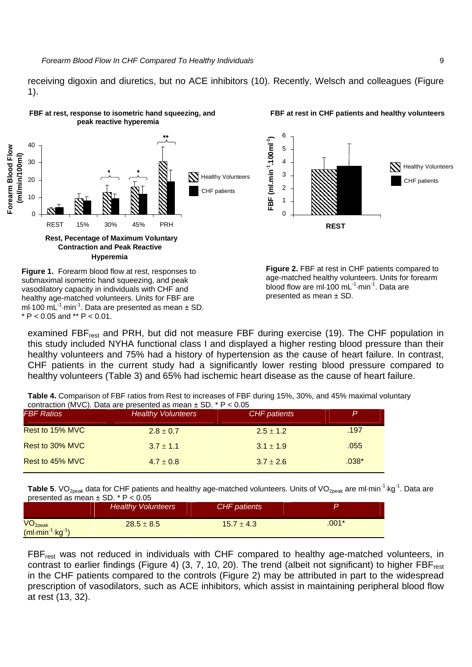receiving digoxin and diuretics, but no ACE inhibitors (10). Recently, Welsch and colleagues (Figure 1).



examined FBF<sub>rest</sub> and PRH, but did not measure FBF during exercise (19). The CHF population in this study included NYHA functional class I and displayed a higher resting blood pressure than their healthy volunteers and 75% had a history of hypertension as the cause of heart failure. In contrast, CHF patients in the current study had a significantly lower resting blood pressure compared to healthy volunteers (Table 3) and 65% had ischemic heart disease as the cause of heart failure.

**Table 4.** Comparison of FBF ratios from Rest to increases of FBF during 15%, 30%, and 45% maximal voluntary contraction (MVC). Data are presented as mean  $\pm$  SD.  $*$  P < 0.05

| <b>FBF Ratios</b> | <b>Healthy Volunteers</b> | <b>CHF</b> patients | P       |
|-------------------|---------------------------|---------------------|---------|
| Rest to 15% MVC   | $2.8 \pm 0.7$             | $2.5 \pm 1.2$       | .197    |
| Rest to 30% MVC   | $3.7 \pm 1.1$             | $3.1 \pm 1.9$       | .055    |
| Rest to 45% MVC   | $4.7 \pm 0.8$             | $3.7 \pm 2.6$       | $.038*$ |

Table 5. VO<sub>2peak</sub> data for CHF patients and healthy age-matched volunteers. Units of VO<sub>2peak</sub> are ml·min<sup>-1</sup>·kg<sup>-1</sup>. Data are presented as mean  $\pm$  SD.  $*$  P < 0.05

|                                          | <b>Healthy Volunteers</b> | <b>CHF</b> patients |         |
|------------------------------------------|---------------------------|---------------------|---------|
| VO <sub>2peak</sub><br>$(ml·min-1·kg-1)$ | $28.5 \pm 8.5$            | $15.7 \pm 4.3$      | $.001*$ |

FBFrest was not reduced in individuals with CHF compared to healthy age-matched volunteers, in contrast to earlier findings (Figure 4) (3, 7, 10, 20). The trend (albeit not significant) to higher FBF<sub>rest</sub> in the CHF patients compared to the controls (Figure 2) may be attributed in part to the widespread prescription of vasodilators, such as ACE inhibitors, which assist in maintaining peripheral blood flow at rest (13, 32).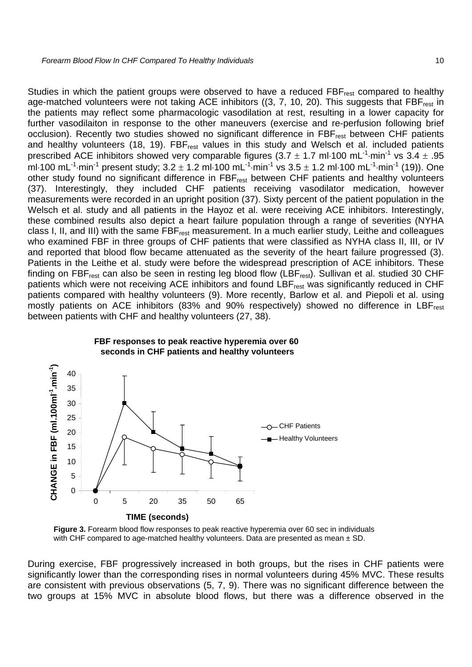Studies in which the patient groups were observed to have a reduced FBF<sub>rest</sub> compared to healthy age-matched volunteers were not taking ACE inhibitors ((3, 7, 10, 20). This suggests that FBF<sub>rest</sub> in the patients may reflect some pharmacologic vasodilation at rest, resulting in a lower capacity for further vasodilaiton in response to the other maneuvers (exercise and re-perfusion following brief occlusion). Recently two studies showed no significant difference in FBF<sub>rest</sub> between CHF patients and healthy volunteers (18, 19). FBF<sub>rest</sub> values in this study and Welsch et al. included patients prescribed ACE inhibitors showed very comparable figures (3.7  $\pm$  1.7 ml $\cdot$ 100 mL<sup>-1</sup>·min<sup>-1</sup> vs 3.4  $\pm$  .95 ml-100 mL<sup>-1</sup>-min<sup>-1</sup> present study;  $3.2 \pm 1.2$  ml-100 mL<sup>-1</sup>-min<sup>-1</sup> vs  $3.5 \pm 1.2$  ml-100 mL<sup>-1</sup>-min<sup>-1</sup> (19)). One other study found no significant difference in FBF<sub>rest</sub> between CHF patients and healthy volunteers (37). Interestingly, they included CHF patients receiving vasodilator medication, however measurements were recorded in an upright position (37). Sixty percent of the patient population in the Welsch et al. study and all patients in the Hayoz et al. were receiving ACE inhibitors. Interestingly, these combined results also depict a heart failure population through a range of severities (NYHA class I, II, and III) with the same FBFrest measurement. In a much earlier study, Leithe and colleagues who examined FBF in three groups of CHF patients that were classified as NYHA class II, III, or IV and reported that blood flow became attenuated as the severity of the heart failure progressed (3). Patients in the Leithe et al. study were before the widespread prescription of ACE inhibitors. These finding on FBF<sub>rest</sub> can also be seen in resting leg blood flow (LBF<sub>rest</sub>). Sullivan et al. studied 30 CHF patients which were not receiving ACE inhibitors and found LBF<sub>rest</sub> was significantly reduced in CHF patients compared with healthy volunteers (9). More recently, Barlow et al. and Piepoli et al. using mostly patients on ACE inhibitors (83% and 90% respectively) showed no difference in LBF<sub>rest</sub> between patients with CHF and healthy volunteers (27, 38).





**Figure 3.** Forearm blood flow responses to peak reactive hyperemia over 60 sec in individuals with CHF compared to age-matched healthy volunteers. Data are presented as mean  $\pm$  SD.

During exercise, FBF progressively increased in both groups, but the rises in CHF patients were significantly lower than the corresponding rises in normal volunteers during 45% MVC. These results are consistent with previous observations (5, 7, 9). There was no significant difference between the two groups at 15% MVC in absolute blood flows, but there was a difference observed in the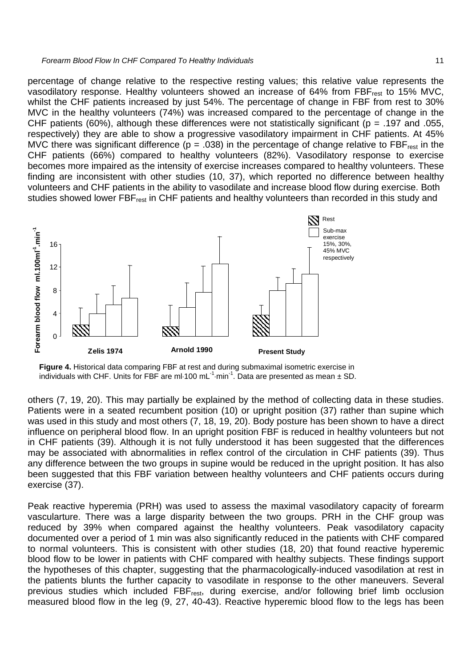percentage of change relative to the respective resting values; this relative value represents the vasodilatory response. Healthy volunteers showed an increase of 64% from FBF<sub>rest</sub> to 15% MVC, whilst the CHF patients increased by just 54%. The percentage of change in FBF from rest to 30% MVC in the healthy volunteers (74%) was increased compared to the percentage of change in the CHF patients (60%), although these differences were not statistically significant ( $p = .197$  and .055, respectively) they are able to show a progressive vasodilatory impairment in CHF patients. At 45% MVC there was significant difference ( $p = .038$ ) in the percentage of change relative to FBF<sub>rest</sub> in the CHF patients (66%) compared to healthy volunteers (82%). Vasodilatory response to exercise becomes more impaired as the intensity of exercise increases compared to healthy volunteers. These finding are inconsistent with other studies (10, 37), which reported no difference between healthy volunteers and CHF patients in the ability to vasodilate and increase blood flow during exercise. Both studies showed lower FBF<sub>rest</sub> in CHF patients and healthy volunteers than recorded in this study and



**Figure 4.** Historical data comparing FBF at rest and during submaximal isometric exercise in individuals with CHF. Units for FBF are ml $\cdot$ 100 mL<sup>-1</sup>min<sup>-1</sup>. Data are presented as mean  $\pm$  SD.

others (7, 19, 20). This may partially be explained by the method of collecting data in these studies. Patients were in a seated recumbent position (10) or upright position (37) rather than supine which was used in this study and most others (7, 18, 19, 20). Body posture has been shown to have a direct influence on peripheral blood flow. In an upright position FBF is reduced in healthy volunteers but not in CHF patients (39). Although it is not fully understood it has been suggested that the differences may be associated with abnormalities in reflex control of the circulation in CHF patients (39). Thus any difference between the two groups in supine would be reduced in the upright position. It has also been suggested that this FBF variation between healthy volunteers and CHF patients occurs during exercise (37).

Peak reactive hyperemia (PRH) was used to assess the maximal vasodilatory capacity of forearm vascularture. There was a large disparity between the two groups. PRH in the CHF group was reduced by 39% when compared against the healthy volunteers. Peak vasodilatory capacity documented over a period of 1 min was also significantly reduced in the patients with CHF compared to normal volunteers. This is consistent with other studies (18, 20) that found reactive hyperemic blood flow to be lower in patients with CHF compared with healthy subjects. These findings support the hypotheses of this chapter, suggesting that the pharmacologically-induced vasodilation at rest in the patients blunts the further capacity to vasodilate in response to the other maneuvers. Several previous studies which included FBF<sub>rest</sub>, during exercise, and/or following brief limb occlusion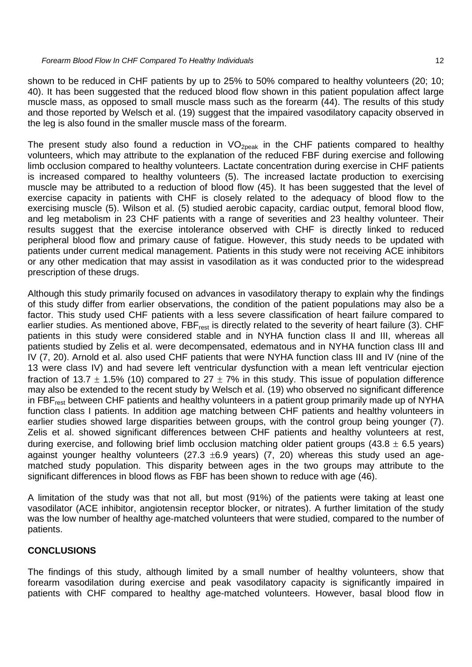shown to be reduced in CHF patients by up to 25% to 50% compared to healthy volunteers (20; 10; 40). It has been suggested that the reduced blood flow shown in this patient population affect large muscle mass, as opposed to small muscle mass such as the forearm (44). The results of this study and those reported by Welsch et al. (19) suggest that the impaired vasodilatory capacity observed in the leg is also found in the smaller muscle mass of the forearm.

The present study also found a reduction in  $VO_{20eak}$  in the CHF patients compared to healthy volunteers, which may attribute to the explanation of the reduced FBF during exercise and following limb occlusion compared to healthy volunteers. Lactate concentration during exercise in CHF patients is increased compared to healthy volunteers (5). The increased lactate production to exercising muscle may be attributed to a reduction of blood flow (45). It has been suggested that the level of exercise capacity in patients with CHF is closely related to the adequacy of blood flow to the exercising muscle (5). Wilson et al. (5) studied aerobic capacity, cardiac output, femoral blood flow, and leg metabolism in 23 CHF patients with a range of severities and 23 healthy volunteer. Their results suggest that the exercise intolerance observed with CHF is directly linked to reduced peripheral blood flow and primary cause of fatigue. However, this study needs to be updated with patients under current medical management. Patients in this study were not receiving ACE inhibitors or any other medication that may assist in vasodilation as it was conducted prior to the widespread prescription of these drugs.

Although this study primarily focused on advances in vasodilatory therapy to explain why the findings of this study differ from earlier observations, the condition of the patient populations may also be a factor. This study used CHF patients with a less severe classification of heart failure compared to earlier studies. As mentioned above,  $FBF_{rest}$  is directly related to the severity of heart failure (3). CHF patients in this study were considered stable and in NYHA function class II and III, whereas all patients studied by Zelis et al. were decompensated, edematous and in NYHA function class III and IV (7, 20). Arnold et al. also used CHF patients that were NYHA function class III and IV (nine of the 13 were class IV) and had severe left ventricular dysfunction with a mean left ventricular ejection fraction of 13.7  $\pm$  1.5% (10) compared to 27  $\pm$  7% in this study. This issue of population difference may also be extended to the recent study by Welsch et al. (19) who observed no significant difference in FBF<sub>rest</sub> between CHF patients and healthy volunteers in a patient group primarily made up of NYHA function class I patients. In addition age matching between CHF patients and healthy volunteers in earlier studies showed large disparities between groups, with the control group being younger (7). Zelis et al. showed significant differences between CHF patients and healthy volunteers at rest, during exercise, and following brief limb occlusion matching older patient groups (43.8  $\pm$  6.5 years) against younger healthy volunteers (27.3  $\pm$ 6.9 years) (7, 20) whereas this study used an agematched study population. This disparity between ages in the two groups may attribute to the significant differences in blood flows as FBF has been shown to reduce with age (46).

A limitation of the study was that not all, but most (91%) of the patients were taking at least one vasodilator (ACE inhibitor, angiotensin receptor blocker, or nitrates). A further limitation of the study was the low number of healthy age-matched volunteers that were studied, compared to the number of patients.

# **CONCLUSIONS**

The findings of this study, although limited by a small number of healthy volunteers, show that forearm vasodilation during exercise and peak vasodilatory capacity is significantly impaired in patients with CHF compared to healthy age-matched volunteers. However, basal blood flow in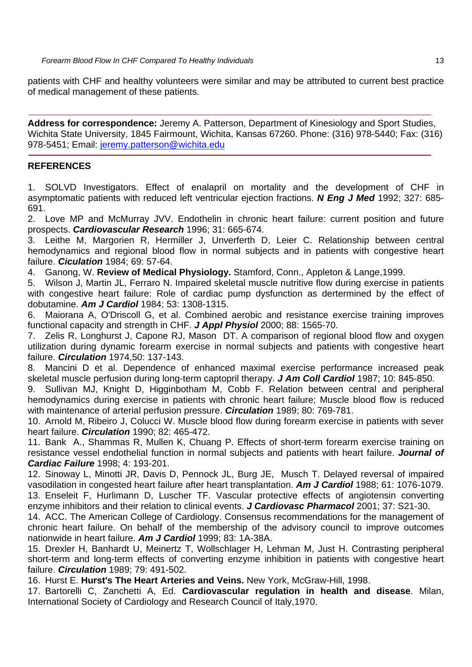patients with CHF and healthy volunteers were similar and may be attributed to current best practice of medical management of these patients.

**Address for correspondence:** Jeremy A. Patterson, Department of Kinesiology and Sport Studies, Wichita State University, 1845 Fairmount, Wichita, Kansas 67260. Phone: (316) 978-5440; Fax: (316) 978-5451; Email: jeremy.patterson@wichita.edu

# **REFERENCES**

1. SOLVD Investigators. Effect of enalapril on mortality and the development of CHF in asymptomatic patients with reduced left ventricular ejection fractions. *N Eng J Med* 1992; 327: 685- 691.

2. Love MP and McMurray JVV. Endothelin in chronic heart failure: current position and future prospects. *Cardiovascular Research* 1996; 31: 665-674.

3. Leithe M, Margorien R, Hermiller J, Unverferth D, Leier C. Relationship between central hemodynamics and regional blood flow in normal subjects and in patients with congestive heart failure. *Ciculation* 1984; 69: 57-64.

4. Ganong, W. **Review of Medical Physiology.** Stamford, Conn., Appleton & Lange,1999.

5. Wilson J, Martin JL, Ferraro N. Impaired skeletal muscle nutritive flow during exercise in patients with congestive heart failure: Role of cardiac pump dysfunction as dertermined by the effect of dobutamine. *Am J Cardiol* 1984; 53: 1308-1315.

6. Maiorana A, O'Driscoll G, et al. Combined aerobic and resistance exercise training improves functional capacity and strength in CHF. *J Appl Physiol* 2000; 88: 1565-70.

7. Zelis R, Longhurst J, Capone RJ, Mason DT. A comparison of regional blood flow and oxygen utilization during dynamic forearm exercise in normal subjects and patients with congestive heart failure. *Circulation* 1974,50: 137-143.

8. Mancini D et al. Dependence of enhanced maximal exercise performance increased peak skeletal muscle perfusion during long-term captopril therapy. *J Am Coll Cardiol* 1987; 10: 845-850.

9. Sullivan MJ, Knight D, Higginbotham M, Cobb F. Relation between central and peripheral hemodynamics during exercise in patients with chronic heart failure; Muscle blood flow is reduced with maintenance of arterial perfusion pressure. *Circulation* 1989; 80: 769-781.

10. Arnold M, Ribeiro J, Colucci W. Muscle blood flow during forearm exercise in patients with sever heart failure. *Circulation* 1990; 82: 465-472.

11. Bank A., Shammas R, Mullen K, Chuang P. Effects of short-term forearm exercise training on resistance vessel endothelial function in normal subjects and patients with heart failure. *Journal of Cardiac Failure* 1998; 4: 193-201.

12. Sinoway L, Minotti JR, Davis D, Pennock JL, Burg JE, Musch T. Delayed reversal of impaired vasodilation in congested heart failure after heart transplantation. *Am J Cardiol* 1988; 61: 1076-1079. 13. Enseleit F, Hurlimann D, Luscher TF. Vascular protective effects of angiotensin converting enzyme inhibitors and their relation to clinical events. *J Cardiovasc Pharmacol* 2001; 37: S21-30.

14. ACC. The American College of Cardiology. Consensus recommendations for the management of chronic heart failure. On behalf of the membership of the advisory council to improve outcomes nationwide in heart failure. *Am J Cardiol* 1999; 83: 1A-38A.

15. Drexler H, Banhardt U, Meinertz T, Wollschlager H, Lehman M, Just H. Contrasting peripheral short-term and long-term effects of converting enzyme inhibition in patients with congestive heart failure. *Circulation* 1989; 79: 491-502.

16. Hurst E. **Hurst's The Heart Arteries and Veins.** New York, McGraw-Hill, 1998.

17. Bartorelli C, Zanchetti A, Ed. **Cardiovascular regulation in health and disease**. Milan, International Society of Cardiology and Research Council of Italy,1970.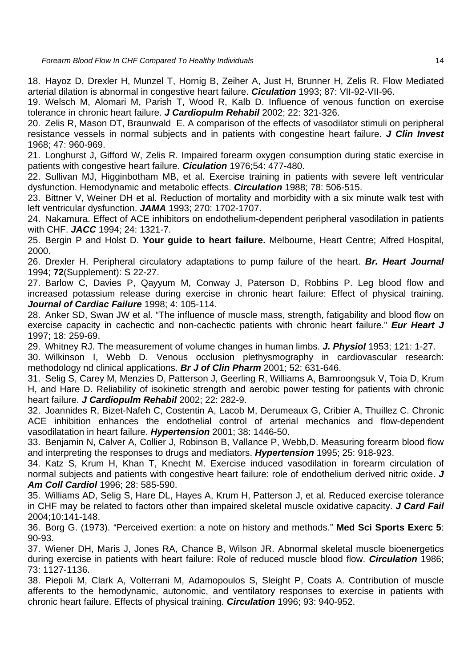18. Hayoz D, Drexler H, Munzel T, Hornig B, Zeiher A, Just H, Brunner H, Zelis R. Flow Mediated arterial dilation is abnormal in congestive heart failure. *Ciculation* 1993; 87: VII-92-VII-96.

19. Welsch M, Alomari M, Parish T, Wood R, Kalb D. Influence of venous function on exercise tolerance in chronic heart failure. *J Cardiopulm Rehabil* 2002; 22: 321-326.

20. Zelis R, Mason DT, Braunwald E. A comparison of the effects of vasodilator stimuli on peripheral resistance vessels in normal subjects and in patients with congestine heart failure. *J Clin Invest* 1968; 47: 960-969.

21. Longhurst J, Gifford W, Zelis R. Impaired forearm oxygen consumption during static exercise in patients with congestive heart failure. *Ciculation* 1976;54: 477-480.

22. Sullivan MJ, Higginbotham MB, et al. Exercise training in patients with severe left ventricular dysfunction. Hemodynamic and metabolic effects. *Circulation* 1988; 78: 506-515.

23. Bittner V, Weiner DH et al. Reduction of mortality and morbidity with a six minute walk test with left ventricular dysfunction. *JAMA* 1993; 270: 1702-1707.

24. Nakamura. Effect of ACE inhibitors on endothelium-dependent peripheral vasodilation in patients with CHF. *JACC* 1994; 24: 1321-7.

25. Bergin P and Holst D. **Your guide to heart failure.** Melbourne, Heart Centre; Alfred Hospital, 2000.

26. Drexler H. Peripheral circulatory adaptations to pump failure of the heart. *Br. Heart Journal* 1994; **72**(Supplement): S 22-27.

27. Barlow C, Davies P, Qayyum M, Conway J, Paterson D, Robbins P. Leg blood flow and increased potassium release during exercise in chronic heart failure: Effect of physical training. *Journal of Cardiac Failure* 1998; 4: 105-114.

28. Anker SD, Swan JW et al. "The influence of muscle mass, strength, fatigability and blood flow on exercise capacity in cachectic and non-cachectic patients with chronic heart failure." **Eur Heart J** 1997; 18: 259-69.

29. Whitney RJ. The measurement of volume changes in human limbs. *J. Physiol* 1953; 121: 1-27.

30. Wilkinson I, Webb D. Venous occlusion plethysmography in cardiovascular research: methodology nd clinical applications. *Br J of Clin Pharm* 2001; 52: 631-646.

31. Selig S, Carey M, Menzies D, Patterson J, Geerling R, Williams A, Bamroongsuk V, Toia D, Krum H, and Hare D. Reliability of isokinetic strength and aerobic power testing for patients with chronic heart failure. *J Cardiopulm Rehabil* 2002; 22: 282-9.

32. Joannides R, Bizet-Nafeh C, Costentin A, Lacob M, Derumeaux G, Cribier A, Thuillez C. Chronic ACE inhibition enhances the endothelial control of arterial mechanics and flow-dependent vasodilatation in heart failure. *Hypertension* 2001; 38: 1446-50.

33. Benjamin N, Calver A, Collier J, Robinson B, Vallance P, Webb,D. Measuring forearm blood flow and interpreting the responses to drugs and mediators. *Hypertension* 1995; 25: 918-923.

34. Katz S, Krum H, Khan T, Knecht M. Exercise induced vasodilation in forearm circulation of normal subjects and patients with congestive heart failure: role of endothelium derived nitric oxide. *J Am Coll Cardiol* 1996; 28: 585-590.

35. Williams AD, Selig S, Hare DL, Hayes A, Krum H, Patterson J, et al. Reduced exercise tolerance in CHF may be related to factors other than impaired skeletal muscle oxidative capacity. *J Card Fail* 2004;10:141-148.

36. Borg G. (1973). "Perceived exertion: a note on history and methods." **Med Sci Sports Exerc 5**: 90-93.

37. Wiener DH, Maris J, Jones RA, Chance B, Wilson JR. Abnormal skeletal muscle bioenergetics during exercise in patients with heart failure: Role of reduced muscle blood flow. *Circulation* 1986; 73: 1127-1136.

38. Piepoli M, Clark A, Volterrani M, Adamopoulos S, Sleight P, Coats A. Contribution of muscle afferents to the hemodynamic, autonomic, and ventilatory responses to exercise in patients with chronic heart failure. Effects of physical training. *Circulation* 1996; 93: 940-952.